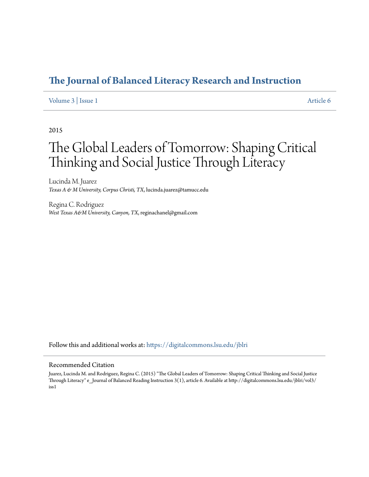# **[The Journal of Balanced Literacy Research and Instruction](https://digitalcommons.lsu.edu/jblri?utm_source=digitalcommons.lsu.edu%2Fjblri%2Fvol3%2Fiss1%2F6&utm_medium=PDF&utm_campaign=PDFCoverPages)**

# [Volume 3](https://digitalcommons.lsu.edu/jblri/vol3?utm_source=digitalcommons.lsu.edu%2Fjblri%2Fvol3%2Fiss1%2F6&utm_medium=PDF&utm_campaign=PDFCoverPages) | [Issue 1](https://digitalcommons.lsu.edu/jblri/vol3/iss1?utm_source=digitalcommons.lsu.edu%2Fjblri%2Fvol3%2Fiss1%2F6&utm_medium=PDF&utm_campaign=PDFCoverPages) [Article 6](https://digitalcommons.lsu.edu/jblri/vol3/iss1/6?utm_source=digitalcommons.lsu.edu%2Fjblri%2Fvol3%2Fiss1%2F6&utm_medium=PDF&utm_campaign=PDFCoverPages)

# 2015

# The Global Leaders of Tomorrow: Shaping Critical Thinking and Social Justice Through Literacy

Lucinda M. Juarez *Texas A & M University, Corpus Christi, TX*, lucinda.juarez@tamucc.edu

Regina C. Rodriguez *West Texas A&M University, Canyon, TX*, reginachanel@gmail.com

Follow this and additional works at: [https://digitalcommons.lsu.edu/jblri](https://digitalcommons.lsu.edu/jblri?utm_source=digitalcommons.lsu.edu%2Fjblri%2Fvol3%2Fiss1%2F6&utm_medium=PDF&utm_campaign=PDFCoverPages)

# Recommended Citation

Juarez, Lucinda M. and Rodriguez, Regina C. (2015) "The Global Leaders of Tomorrow: Shaping Critical Thinking and Social Justice Through Literacy" e\_Journal of Balanced Reading Instruction 3(1), article 6. Available at http://digitalcommons.lsu.edu/jblri/vol3/ iss1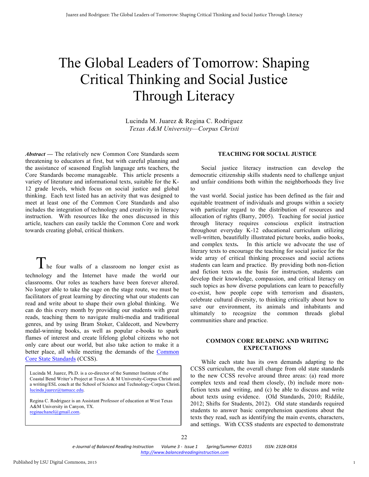# The Global Leaders of Tomorrow: Shaping Critical Thinking and Social Justice Through Literacy

Lucinda M. Juarez & Regina C. Rodriguez *Texas A&M University—Corpus Christi*

*Abstract* **—** The relatively new Common Core Standards seem threatening to educators at first, but with careful planning and the assistance of seasoned English language arts teachers, the Core Standards become manageable. This article presents a variety of literature and informational texts, suitable for the K-12 grade levels, which focus on social justice and global thinking. Each text listed has an activity that was designed to meet at least one of the Common Core Standards and also includes the integration of technology and creativity in literacy instruction. With resources like the ones discussed in this article, teachers can easily tackle the Common Core and work towards creating global, critical thinkers.

The four walls of a classroom no longer exist as technology and the Internet have made the world our classrooms. Our roles as teachers have been forever altered. No longer able to take the sage on the stage route, we must be facilitators of great learning by directing what our students can read and write about to shape their own global thinking. We can do this every month by providing our students with great reads, teaching them to navigate multi-media and traditional genres, and by using Bram Stoker, Caldecott, and Newberry medal-winning books, as well as popular e-books to spark flames of interest and create lifelong global citizens who not only care about our world, but also take action to make it a better place, all while meeting the demands of the [Common](http://www.corestandards.org)  [Core State Standards](http://www.corestandards.org) (CCSS).

Lucinda M. Juarez, Ph.D. is a co-director of the Summer Institute of the Coastal Bend Writer's Project at Texas A & M University-Corpus Christi and a writing/ESL coach at the School of Science and Technology-Corpus Christi. lucinda.juarez@tamucc.edu.

Regina C. Rodriguez is an Assistant Professor of education at West Texas A&M University in Canyon, TX. reginachanel@gmail.com.

# **TEACHING FOR SOCIAL JUSTICE**

Social justice literacy instruction can develop the democratic citizenship skills students need to challenge unjust and unfair conditions both within the neighborhoods they live to

the vast world. Social justice has been defined as the fair and equitable treatment of individuals and groups within a society with particular regard to the distribution of resources and allocation of rights (Barry, 2005). Teaching for social justice through literacy requires conscious explicit instruction throughout everyday K-12 educational curriculum utilizing well-written, beautifully illustrated picture books, audio books, and complex texts**.** In this article we advocate the use of literary texts to encourage the teaching for social justice for the wide array of critical thinking processes and social actions students can learn and practice. By providing both non-fiction and fiction texts as the basis for instruction, students can develop their knowledge, compassion, and critical literacy on such topics as how diverse populations can learn to peacefully co-exist, how people cope with terrorism and disasters, celebrate cultural diversity, to thinking critically about how to save our environment, its animals and inhabitants and ultimately to recognize the common threads global communities share and practice.

# **COMMON CORE READING AND WRITING EXPECTATIONS**

While each state has its own demands adapting to the CCSS curriculum, the overall change from old state standards to the new CCSS revolve around three areas: (a) read more complex texts and read them closely, (b) include more nonfiction texts and writing, and (c) be able to discuss and write about texts using evidence. (Old Standards, 2010; Riddile, 2012; Shifts for Students, 2012). Old state standards required students to answer basic comprehension questions about the texts they read, such as identifying the main events, characters, and settings. With CCSS students are expected to demonstrate

*e-Journal of Balanced Reading Instruction* Volume 3 - Issue 1 Spring/Summer ©2015 *ISSN: 2328-0816 http://www.balancedreadinginstruction.com*

ŕ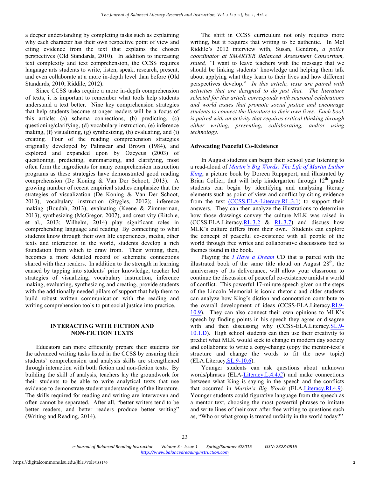a deeper understanding by completing tasks such as explaining why each character has their own respective point of view and citing evidence from the text that explains the chosen perspectives (Old Standards, 2010). In addition to increasing text complexity and text comprehension, the CCSS requires language arts students to write, listen, speak, research, present, and even collaborate at a more in-depth level than before (Old Standards, 2010; Riddile, 2012).

Since CCSS tasks require a more in-depth comprehension of texts, it is important to remember what tools help students understand a text better. Nine key comprehension strategies that help students become stronger readers will be a focus of this article: (a) schema connections, (b) predicting, (c) questioning/clarifying, (d) vocabulary instruction, (e) inference making, (f) visualizing, (g) synthesizing, (h) evaluating, and (i) creating*.* Four of the reading comprehension strategies originally developed by Palinscar and Brown (1984), and explored and expanded upon by Ozcycus (2003) of questioning, predicting, summarizing, and clarifying, most often form the ingredients for many comprehension instruction programs as these strategies have demonstrated good reading comprehension (De Koning & Van Der Schoot, 2013). A growing number of recent empirical studies emphasize that the strategies of visualization (De Koning & Van Der Schoot, 2013), vocabulary instruction (Stygles, 2012); inference making (Boudah, 2013), evaluating (Keene & Zimmerman, 2013), synthesizing (McGregor. 2007), and creativity (Ritchie, et al., 2013; Wilhelm, 2014) play significant roles in comprehending language and reading. By connecting to what students know through their own life experiences, media, other texts and interaction in the world, students develop a rich foundation from which to draw from. Their writing, then, becomes a more detailed record of schematic connections shared with their readers. In addition to the strength in learning caused by tapping into students' prior knowledge, teacher led strategies of visualizing, vocabulary instruction, inference making, evaluating, synthesizing and creating, provide students with the additionally needed pillars of support that help them to build robust written communication with the reading and writing comprehension tools to put social justice into practice.

# **INTERACTING WITH FICTION AND NON-FICTION TEXTS**

Educators can more efficiently prepare their students for the advanced writing tasks listed in the CCSS by ensuring their students' comprehension and analysis skills are strengthened through interaction with both fiction and non-fiction texts. By building the skill of analysis, teachers lay the groundwork for their students to be able to write analytical texts that use evidence to demonstrate student understanding of the literature. The skills required for reading and writing are interwoven and often cannot be separated. After all, "better writers tend to be better readers, and better readers produce better writing" (Writing and Reading, 2014).

The shift in CCSS curriculum not only requires more writing, but it requires that writing to be authentic. In Mel Riddile's 2012 interview with, Susan, Gendron, *a policy coordinator at SMARTER Balanced Assessment Consortium, stated, "*I want to leave teachers with the message that we should be linking students' knowledge and helping them talk about applying what they learn to their lives and how different perspectives develop." *In this article, texts are paired with activities that are designed to do just that. The literature selected for this article corresponds with seasonal celebrations and world issues that promote social justice and encourage students to connect the literature to their own lives. Each book is paired with an activity that requires critical thinking through either writing, presenting, collaborating, and/or using technology.*

#### **Advocating Peaceful Co-Existence**

In August students can begin their school year listening to a read-aloud of *[Martin's Big Words: The Life of Martin Luther](http://www.teachertube.com/video/martins-big-words-77151) [King](http://www.teachertube.com/video/martins-big-words-77151)*, a picture book by Doreen Rappaport, and illustrated by Brian Collier, that will help kindergarten through  $12<sup>th</sup>$  grade students can begin by identifying and analyzing literary elements such as point of view and conflict by citing evidence from the text [\(CCSS.ELA-Literacy.RL.3.1\)](http://www.corestandards.org/ELA-Literacy/RL/3/1/) to support their answers. They can then analyze the illustrations to determine how those drawings convey the culture MLK was raised in (CCSS.ELA.Literacy.[RL.3.2](http://www.corestandards.org/ELA-Literacy/RL/3/2/) & [RL.3.7\)](http://www.corestandards.org/ELA-Literacy/RL/3/7/) and discuss how MLK's culture differs from their own. Students can explore the concept of peaceful co-existence with all people of the world through free writes and collaborative discussions tied to themes found in the book.

Playing the *[I Have a Dream](http://www.amazon.com/I-Have-Dream-Book-CD/dp/0375858873)* CD that is paired with the illustrated book of the same title aloud on August  $28<sup>th</sup>$ , the anniversary of its deliverance, will allow your classroom to continue the discussion of peaceful co-existence amidst a world of conflict. This powerful 17-minute speech given on the steps of the Lincoln Memorial is iconic rhetoric and older students can analyze how King's diction and connotation contribute to the overall development of ideas (CCSS-ELA.Literacy.[RI.9-](http://www.corestandards.org/ELA-Literacy/RI/9-10/9/) [10.9\).](http://www.corestandards.org/ELA-Literacy/RI/9-10/9/) They can also connect their own opinions to MLK's speech by finding points in his speech they agree or disagree with and then discussing why (CCSS-ELA.Literacy.[SL.9-](http://www.corestandards.org/ELA-Literacy/SL/9-10/1/d/) [10.1.D\).](http://www.corestandards.org/ELA-Literacy/SL/9-10/1/d/) High school students can then use their creativity to predict what MLK would seek to change in modern day society and collaborate to write a copy-change (copy the mentor-text's structure and change the words to fit the new topic) (ELA.Literacy.[SL.9-10.6\)](http://www.corestandards.org/ELA-Literacy/SL/9-10/6/).

Younger students can ask questions about unknown words/phrases (ELA-[Literacy.L.4.4.C\)](http://www.corestandards.org/ELA-Literacy/L/4/4/c/) and make connections between what King is saying in the speech and the conflicts that occurred in *Martin's Big Words* (ELA[.Literacy.RI.4.9\)](http://www.corestandards.org/ELA-Literacy/RI/4/9/)*.*  Younger students could figurative language from the speech as a mentor text, choosing the most powerful phrases to imitate and write lines of their own after free writing to questions such as, "Who or what group is treated unfairly in the world today?"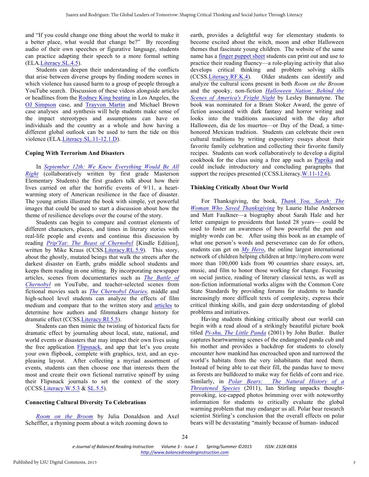and "If you could change one thing about the world to make it a better place, what would that change be?" By recording audio of their own speeches or figurative language, students can practice adapting their speech to a more formal setting (ELA.[Literacy.SL.4.5\)](http://www.corestandards.org/ELA-Literacy/SL/4/5/).

Students can deepen their understanding of the conflicts that arise between diverse groups by finding modern scenes in which violence has caused harm to a group of people through a YouTube search. Discussion of these videos alongside articles or headlines from the [Rodney King beating](http://www.nytimes.com/1991/03/07/us/tape-of-beating-by-police-revives-charges-of-racism.html) in Los Angeles, the [OJ Simpson](http://www.nytimes.com/1994/06/18/us/simpson-case-marriage-handling-1989-wife-beating-case-was-terrible-joke.html) case, and [Trayvon Martin](http://www.washingtonpost.com/opinions/richard-cohen-racism-vs-reality/2013/07/15/4f419eb6-ed7a-11e2-a1f9-ea873b7e0424_story.html) and Michael Brown case analyses and synthesis will help students make sense of the impact stereotypes and assumptions can have on individuals and the country as a whole and how having a different global outlook can be used to turn the tide on this violence (ELA.[Literacy.SL.11-12.1.D\).](http://www.corestandards.org/ELA-Literacy/SL/11-12/1/d/)

#### **Coping With Terrorism And Disasters**

In *[September 12th: We Knew Everything Would Be All](https://www.youtube.com/watch?v=lR_Gk4b12ko) [Right](https://www.youtube.com/watch?v=lR_Gk4b12ko)* (collaboratively written by first grade Masterson Elementary Students) the first graders talk about how their lives carried on after the horrific events of 9/11, a heartwarming story of American resilience in the face of disaster. The young artists illustrate the book with simple, yet powerful images that could be used to start a discussion about how the theme of resilience develops over the course of the story.

Students can begin to compare and contrast elements of different characters, places, and times in literary stories with real-life people and events and continue this discussion by reading *[Prip'Yat: The Beast of Chernobyl](http://www.amazon.com/PripYat-Beast-Chernobyl-Mike-Kraus-ebook/dp/B00AA6CM82)* [Kindle Edition], written by Mike Kraus (CCSS.[Literacy.RL.5.9\).](http://www.corestandards.org/ELA-Literacy/RL/5/9/) This story, about the ghostly, mutated beings that walk the streets after the darkest disaster on Earth, grabs middle school students and keeps them reading in one sitting. By incorporating newspaper articles, scenes from documentaries such as *[The Battle of](http://www.amazon.com/PripYat-Beast-Chernobyl-Mike-Kraus-ebook/dp/B00AA6CM82)  [Chernobyl](http://www.amazon.com/PripYat-Beast-Chernobyl-Mike-Kraus-ebook/dp/B00AA6CM82)* on YouTube, and teacher-selected scenes from fictional movies such as *[The Chernobyl Diaries,](https://www.youtube.com/watch?v=GIPwsY6YKyA)* middle and high-school level students can analyze the effects of film medium and compare that to the written story and [articles](http://topics.nytimes.com/top/reference/timestopics/subjects/c/chernobyl_nuclear_accident_1986/index.html) to determine how authors and filmmakers change history for dramatic effect (CCSS.[Literacy.RI.5.5\).](http://www.corestandards.org/ELA-Literacy/RI/5/5/)

Students can then mimic the twisting of historical facts for dramatic effect by journaling about local, state, national, and world events or disasters that may impact their own lives using the free application [Flipsnack](http://www.flipsnack.com), and app that let's you create your own flipbook, complete with graphics, text, and an eyepleasing layout. After collecting a myriad assortment of events, students can then choose one that interests them the most and create their own fictional narrative spinoff by using their Flipsnack journals to set the context of the story (CCSS.[Literacy.W.5.3](http://www.corestandards.org/ELA-Literacy/W/5/3/) & [SL.5.5](http://www.corestandards.org/ELA-Literacy/SL/5/5/)).

#### **Connecting Cultural Diversity To Celebrations**

*[Room on the Broom](https://www.youtube.com/watch?v=4dssMyeeRJg)* by Julia Donaldson and Axel Scheffler, a rhyming poem about a witch zooming down to

earth, provides a delightful way for elementary students to become excited about the witch, moon and other Halloween themes that fascinate young children. The website of the same name has a [finger puppet sheet](http://roomonthebroom.com/activities/page/2/) students can print out and use to practice their reading fluency—a role-playing activity that also develops critical thinking and problem solving skills (CCSS.[Literacy.RF.K.4\)](http://www.corestandards.org/ELA-Literacy/RF/K/4/). Older students can identify and analyze the cultural icons present in both *Room on the Broom* and the spooky, non-fiction *[Halloween Nation: Behind the](http://www.amazon.com/Halloween-Nation-Behind-Scenes-Americas/dp/1589806808)  [Scenes of America's Fright Night](http://www.amazon.com/Halloween-Nation-Behind-Scenes-Americas/dp/1589806808)* by Lesley Bannatyne. The book was nominated for a Bram Stoker Award, the genre of fiction associated with dark fantasy and horror writing and looks into the traditions associated with the day after Halloween, dia de los muertos—or Day of the Dead, a timehonored Mexican tradition. Students can celebrate their own cultural traditions by writing expository essays about their favorite family celebration and collecting their favorite family recipes. Students can work collaboratively to develop a digital cookbook for the class using a free app such as [Paprika](http://paprikaapp.com) and could include introductory and concluding paragraphs that support the recipes presented (CCSS.Literacy.[W.11-12.6\).](http://www.corestandards.org/ELA-Literacy/W/11-12/6/)

#### **Thinking Critically About Our World**

For Thanksgiving, the book, *[Thank You, Sarah: The](https://www.youtube.com/watch?v=jOngWUiQjfA)  [Woman Who Saved Thanksgiving](https://www.youtube.com/watch?v=jOngWUiQjfA)* by Laurie Halse Anderson and Matt Faulkner—a biography about Sarah Hale and her letter campaign to presidents that lasted 28 years— could be used to foster an awareness of how powerful the pen and mighty words can be. After using this book as an example of what one person's words and perseverance can do for others, students can get on *[My Hero](http://myhero.com)*, the online largest international network of children helping children at http://myhero.com were more than 100,000 kids from 90 countries share essays, art, music, and film to honor those working for change. Focusing on social justice, reading of literary classical texts, as well as non-fiction informational works aligns with the Common Core State Standards by providing forums for students to handle increasingly more difficult texts of complexity, express their critical thinking skills, and gain deep understanding of global problems and initiatives.

Having students thinking critically about our world can begin with a read aloud of a strikingly beautiful picture book titled *[Pi-shu, The Little Panda](http://www.amazon.com/Pi-Shu-Little-Panda-John-Butler/dp/1561452424)* (2001) by John Butler. Butler captures heartwarming scenes of the endangered panda cub and his mother and provides a backdrop for students to closely encounter how mankind has encroached upon and narrowed the world's habitats from the very inhabitants that need them. Instead of being able to eat their fill, the pandas have to move as forests are bulldozed to make way for fields of corn and rice. Similarly, in *[Polar Bears: The Natural History of a](http://www.amazon.com/Polar-Bears-Natural-History-Threatened/dp/1554551552)  [Threatened Species](http://www.amazon.com/Polar-Bears-Natural-History-Threatened/dp/1554551552)* (2011), Ian Stirling unpacks thoughtprovoking, ice-capped photos brimming over with noteworthy information for students to critically evaluate the global warming problem that may endanger us all. Polar bear research scientist Stirling's conclusion that the overall effects on polar bears will be devastating "mainly because of human- induced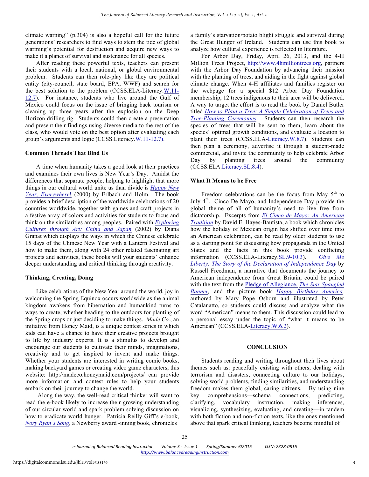climate warning" (p.304) is also a hopeful call for the future generations' researchers to find ways to stem the tide of global warming's potential for destruction and acquire new ways to make it a planet of survival and sustenance for all species.

After reading these powerful texts, teachers can present their students with a local, national, or global environmental problem. Students can then role-play like they are political entity (city-council, state board, EPA, WWF) and search for the best solution to the problem (CCSS.ELA-Literacy.[W.11-](http://www.corestandards.org/ELA-Literacy/W/11-12/7/) [12.7\).](http://www.corestandards.org/ELA-Literacy/W/11-12/7/) For instance, students who live around the Gulf of Mexico could focus on the issue of bringing back tourism or cleaning up three years after the explosion on the Deep Horizon drilling rig. Students could then create a presentation and present their findings using diverse media to the rest of the class, who would vote on the best option after evaluating each group's arguments and logic (CCSS.Literacy.[W.11-12.7\).](http://www.corestandards.org/ELA-Literacy/W/11-12/6/)

### **Common Threads That Bind Us**

A time when humanity takes a good look at their practices and examines their own lives is New Year's Day. Amidst the differences that separate people, helping to highlight that more things in our cultural world unite us than divide is *[Happy New](http://www.amazon.com/Happy-Year-Everywhere-Arlene-Erlbach/dp/0761314881)  [Year, Everywhere](http://www.amazon.com/Happy-Year-Everywhere-Arlene-Erlbach/dp/0761314881)*! (2000) by Erlbach and Holm. The book provides a brief description of the worldwide celebrations of 20 countries worldwide, together with games and craft projects in a festive array of colors and activities for students to focus and think on the similarities among peoples. Paired with *[Exploring](http://www.amazon.com/Exploring-Cultures-Through-Art-China/dp/0439111064)  [Cultures through Art: China and Japan](http://www.amazon.com/Exploring-Cultures-Through-Art-China/dp/0439111064)* (2002) by Diana Granat which displays the ways in which the Chinese celebrate 15 days of the Chinese New Year with a Lantern Festival and how to make them, along with 24 other related fascinating art projects and activities, these books will your students' enhance deeper understanding and critical thinking through creativity.

# **Thinking, Creating, Doing**

Like celebrations of the New Year around the world, joy in welcoming the Spring Equinox occurs worldwide as the animal kingdom awakens from hibernation and humankind turns to ways to create, whether heading to the outdoors for planting of the Spring crops or just deciding to make things. *Made Co.*, an initiative from Honey Maid, is a unique contest series in which kids can have a chance to have their creative projects brought to life by industry experts. It is a stimulus to develop and encourage our students to cultivate their minds, imaginations, creativity and to get inspired to invent and make things. Whether your students are interested in writing comic books, making backyard games or creating video game characters, this website: http://madeco.honeymaid.com/projects/ can provide more information and contest rules to help your students embark on their journey to change the world.

Along the way, the well-read critical thinker will want to read the e-book likely to increase their growing understanding of our circular world and spark problem solving discussion on how to eradicate world hunger. Patricia Reilly Giff's e-book, *[Nory Ryan's Song](http://www.amazon.com/Nory-Ryans-Song-Patricia-Reilly/dp/0440418291)*, a Newberry award -inning book, chronicles

a family's starvation/potato blight struggle and survival during the Great Hunger of Ireland. Students can use this book to analyze how cultural experience is reflected in literature.

For Arbor Day, Friday, April 26, 2013, and the 4-H Million Trees Project, http://www.4hmilliontrees.org, partners with the Arbor Day Foundation by advancing their mission with the planting of trees, and aiding in the fight against global climate change. When 4-H affiliates and families register on the webpage for a special \$12 Arbor Day Foundation membership, 12 trees indigenous to their area will be delivered. A way to target the effort is to read the book by Daniel Butler titled *[How to Plant a Tree: A Simple Celebration of Trees and](http://www.amazon.com/How-Plant-Tree-Celebration-Tree-Planting/dp/1585427969) [Tree-Planting Ceremonies](http://www.amazon.com/How-Plant-Tree-Celebration-Tree-Planting/dp/1585427969)*. Students can then research the species of trees that will be sent to them, learn about the species' optimal growth conditions, and evaluate a location to plant their trees (CCSS.ELA-[Literacy.W.8.7\).](http://www.corestandards.org/ELA-Literacy/W/8/7/) Students can then plan a ceremony, advertise it through a student-made commercial, and invite the community to help celebrate Arbor Day by planting trees around the community (CCSS.ELA.[Literacy.SL.8.4\)](http://www.corestandards.org/ELA-Literacy/SL/8/4/).

# **What It Means to be Free**

Freedom celebrations can be the focus from May  $5<sup>th</sup>$  to July  $4<sup>th</sup>$ . Cinco De Mayo, and Independence Day provide the global theme of all of humanity's need to live free from dictatorship. Excerpts from *[El Cinco de Mayo: An American](http://www.amazon.com/El-Cinco-Mayo-American-Tradition/dp/0520272137) [Tradition](http://www.amazon.com/El-Cinco-Mayo-American-Tradition/dp/0520272137)* by David E. Hayes-Bautista, a book which chronicles how the holiday of Mexican origin has shifted over time into an American celebration, can be read by older students to use as a starting point for discussing how propaganda in the United States and the facts in this book provide conflicting information (CCSS.ELA-Literacy.[SL.9-10.3\).](http://www.corestandards.org/ELA-Literacy/SL/9-10/3/) *[Give Me](http://www.amazon.com/Give-Me-Liberty-Declaration-Independence/dp/0823417530)  [Liberty: The Story of the Declaration of Independence Day](http://www.amazon.com/Give-Me-Liberty-Declaration-Independence/dp/0823417530)* by Russell Freedman, a narrative that documents the journey to American independence from Great Britain, could be paired with the text from the [Pledge of Allegiance,](http://www.va.gov/opa/publications/celebrate/pledge.pdf) *The Star Spangled [Banner,](http://www.va.gov/opa/publications/celebrate/pledge.pdf)* and the picture book *[Happy Birthday America,](http://www.amazon.com/Happy-Birthday-America-Mary-Osborne/dp/031238050X)*  authored by Mary Pope Osborn and illustrated by Peter Catalanatto, so students could discuss and analyze what the word "American" means to them. This discussion could lead to a personal essay under the topic of "what it means to be American" (CCSS.ELA[-Literacy.W.6.2\).](http://www.corestandards.org/ELA-Literacy/W/6/2/)

# **CONCLUSION**

Students reading and writing throughout their lives about themes such as: peacefully existing with others, dealing with terrorism and disasters, connecting culture to our holidays, solving world problems, finding similarities, and understanding freedom makes them global, caring citizens. By using nine key comprehensions—schema connections, predicting, clarifying, vocabulary instruction, making inferences, visualizing, synthesizing, evaluating, and creating—in tandem with both fiction and non-fiction texts, like the ones mentioned above that spark critical thinking, teachers become mindful of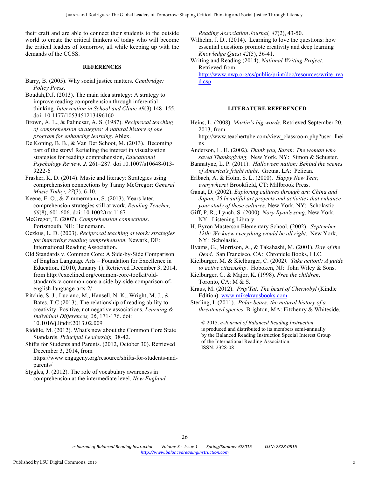their craft and are able to connect their students to the outside world to create the critical thinkers of today who will become the critical leaders of tomorrow, all while keeping up with the demands of the CCSS.

# **REFERENCES**

- Barry, B. (2005). Why social justice matters. *Cambridge: Policy Press*.
- Boudah,D.J. (2013). The main idea strategy: A strategy to improve reading comprehension through inferential thinking. *Intervention in School and Clinic 49*(3) 148–155. doi: 10.1177/1053451213496160

Brown, A. L., & Palincsar, A. S. (1987). *Reciprocal teaching of comprehension strategies: A natural history of one program for enhancing learning*. Ablex.

De Koning, B. B., & Van Der Schoot, M. (2013). Becoming part of the story! Refueling the interest in visualization strategies for reading comprehension, *Educational Psychology Review, 2,* 261–287. doi 10.1007/s10648-013- 9222-6

Frasher, K. D. (2014). Music and literacy: Strategies using comprehension connections by Tanny McGregor: *General Music Today, 27*(3), 6-10.

Keene, E. O., & Zimmermann, S. (2013). Years later, comprehension strategies still at work. *Reading Teacher, 66*(8), 601-606. doi: 10.1002/trtr.1167

McGregor, T. (2007). *Comprehension connections*. Portsmouth, NH: Heinemann.

Oczkus, L. D. (2003). *Reciprocal teaching at work: strategies for improving reading comprehension.* Newark, DE: International Reading Association.

Old Standards v. Common Core: A Side-by-Side Comparison of English Language Arts – Foundation for Excellence in Education. (2010, January 1). Retrieved December 3, 2014, from http://excelined.org/common-core-toolkit/oldstandards-v-common-core-a-side-by-side-comparison-ofenglish-language-arts-2/

Ritchie, S. J., Luciano, M., Hansell, N. K., Wright, M. J., & Bates, T.C (2013). The relationship of reading ability to creativity: Positive, not negative associations. *Learning & Individual Differences, 26*, 171-176. doi: 10.1016/j.lindif.2013.02.009

Riddile, M. (2012). What's new about the Common Core State Standards. *Principal Leadership,* 38-42.

Shifts for Students and Parents. (2012, October 30). Retrieved December 3, 2014, from https://www.engageny.org/resource/shifts-for-students-andparents/

Stygles, J. (2012). The role of vocabulary awareness in comprehension at the intermediate level. *New England*  *Reading Association Journal, 47*(2), 43-50.

- Wilhelm, J. D.. (2014). Learning to love the questions: how essential questions promote creativity and deep learning *Knowledge Quest 42*(5), 36-41.
- Writing and Reading (2014). *National Writing Project.* Retrieved from http://www.nwp.org/cs/public/print/doc/resources/write\_rea d.csp

#### **LITERATURE REFERENCED**

Heins, L. (2008). *Martin's big words.* Retrieved September 20, 2013, from

http://www.teachertube.com/view\_classroom.php?user=lhei ns

Anderson, L. H. (2002). *Thank you, Sarah: The woman who saved Thanksgiving*. New York, NY: Simon & Schuster.

Bannatyne, L. P. (2011). *Halloween nation: Behind the scenes of America's fright night*. Gretna, LA: Pelican.

Erlbach, A. & Holm, S. L. (2000). *Happy New Year, everywhere!* Brookfield, CT: Millbrook Press.

Ganat, D. (2002). *Exploring cultures through art: China and Japan, 25 beautiful art projects and activities that enhance your study of these cultures*. New York, NY: Scholastic.

Giff, P. R.; Lynch, S. (2000). *Nory Ryan's song*. New York, NY: Listening Library.

H. Byron Masterson Elementary School, (2002). *September 12th: We knew everything would be all right*. New York, NY: Scholastic.

Hyams, G., Morrison, A., & Takahashi, M. (2001). *Day of the Dead*. San Francisco, CA: Chronicle Books, LLC.

Kielburger, M. & Kielburger, C. (2002*). Take action!: A guide to active citizenship*. Hoboken, NJ: John Wiley & Sons.

Kielburger, C. & Major, K. (1998). *Free the children*. Toronto, CA: M & S.

Kraus, M. (2012). *Prip'Yat: The beast of Chernobyl* (Kindle Edition). www.mikekrausbooks.com.

Sterling, I. (2011). *Polar bears: the natural history of a threatened species*. Brighton, MA: Fitzhenry & Whiteside.

© 2015. *e-Journal of Balanced Reading Instruction* is produced and distributed to its members semi-annually by the Balanced Reading Instruction Special Interest Group of the International Reading Association. ISSN: 2328-08